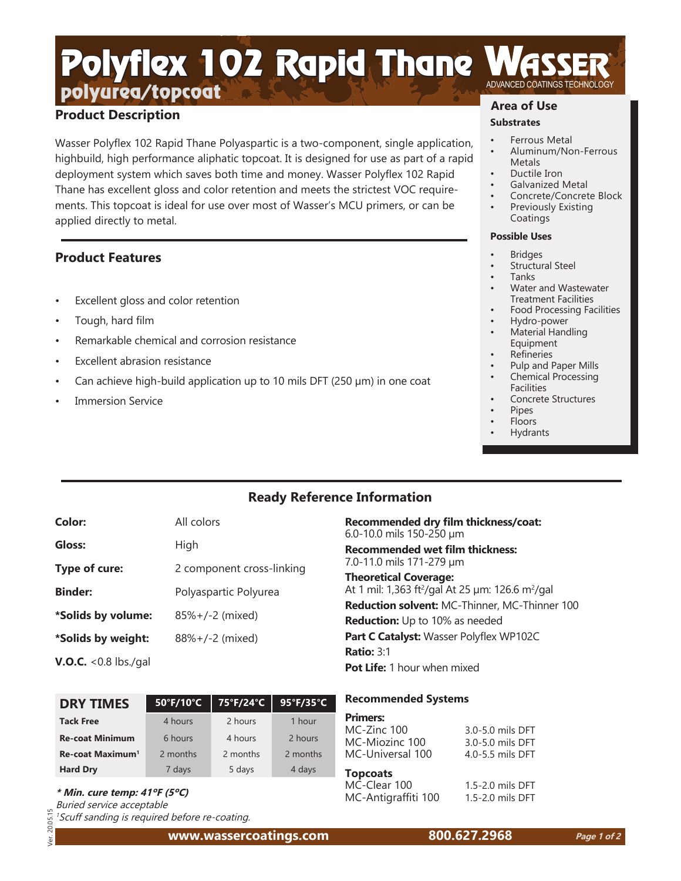# polyurea/topcoat Polyflex 102 Rapid Thane

## **Product Description**

Wasser Polyflex 102 Rapid Thane Polyaspartic is a two-component, single application, highbuild, high performance aliphatic topcoat. It is designed for use as part of a rapid deployment system which saves both time and money. Wasser Polyflex 102 Rapid Thane has excellent gloss and color retention and meets the strictest VOC requirements. This topcoat is ideal for use over most of Wasser's MCU primers, or can be applied directly to metal.

## **Product Features**

- Excellent gloss and color retention
- Tough, hard film
- Remarkable chemical and corrosion resistance
- Excellent abrasion resistance
- Can achieve high-build application up to 10 mils DFT (250 µm) in one coat
- **Immersion Service**

# **Area of Use**

## **Substrates**

- Ferrous Metal
- Aluminum/Non-Ferrous **Metals**
- Ductile Iron
- Galvanized Metal
- Concrete/Concrete Block Previously Existing Coatings

### **Possible Uses**

- **Bridges** 
	- Structural Steel
	- Tanks
	- Water and Wastewater Treatment Facilities
- Food Processing Facilities
- Hydro-power
- Material Handling Equipment
- **Refineries**
- Pulp and Paper Mills
- Chemical Processing Facilities
- Concrete Structures
- Pipes
- Floors
- Hydrants

# **Ready Reference Information**

| Color:             | All colors                   |
|--------------------|------------------------------|
| Gloss:             | High                         |
| Type of cure:      | 2 component cross-linking    |
| <b>Binder:</b>     | Polyaspartic Polyurea        |
| *Solids by volume: | $85\% + (-2 \text{ (mixed)}$ |
| *Solids by weight: | $88\% + (-2 \text{ (mixed)}$ |
|                    |                              |

**V.O.C.** <0.8 lbs./gal

| <b>DRY TIMES</b>             | 50°F/10°C | 75°F/24°C | 95°F/35°C |
|------------------------------|-----------|-----------|-----------|
| <b>Tack Free</b>             | 4 hours   | 2 hours   | 1 hour    |
| <b>Re-coat Minimum</b>       | 6 hours   | 4 hours   | 2 hours   |
| Re-coat Maximum <sup>1</sup> | 2 months  | 2 months  | 2 months  |
| <b>Hard Dry</b>              | 7 days    | 5 days    | 4 days    |

**\* Min. cure temp: 41ºF (5ºC)**

Buried service acceptable

 $\overline{5}$ 20 **Jer** 

 $\frac{1}{2}$  <sup>1</sup> Scuff sanding is required before re-coating. Ver. 20.05.15

**www.wassercoatings.com 800.627.2968**

## **Recommended dry film thickness/coat:** 6.0-10.0 mils 150-250 µm **Recommended wet film thickness:**  7.0-11.0 mils 171-279 µm **Theoretical Coverage:** At 1 mil: 1,363 ft²/gal At 25 µm: 126.6 m²/gal

**Reduction solvent:** MC-Thinner, MC-Thinner 100 **Reduction:** Up to 10% as needed **Part C Catalyst:** Wasser Polyflex WP102C **Ratio:** 3:1 **Pot Life:** 1 hour when mixed

## **Recommended Systems**

| <b>Primers:</b>  |                  |
|------------------|------------------|
| MC-Zinc 100      | 3.0-5.0 mils DFT |
| MC-Miozinc 100   | 3.0-5.0 mils DFT |
| MC-Universal 100 | 4.0-5.5 mils DFT |

# **Topcoats**

MC-Clear 100 1.5-2.0 mils DFT MC-Antigraffiti 100 1.5-2.0 mils DFT